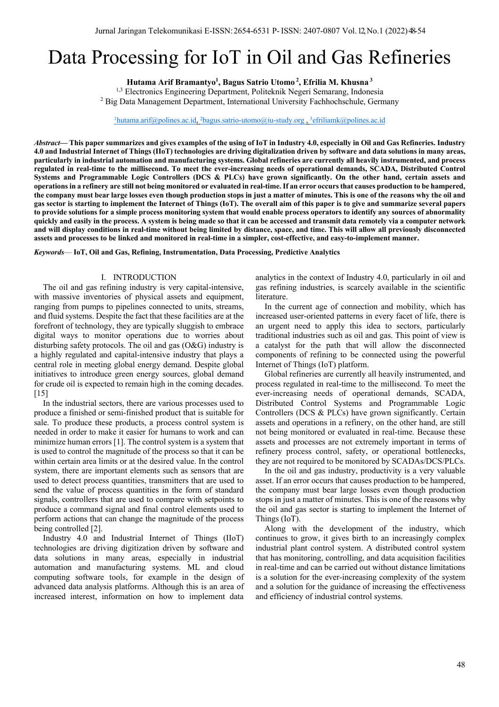# Data Processing for IoT in Oil and Gas Refineries

**Hutama Arif Bramantyo1 , Bagus Satrio Utomo <sup>2</sup> , Efrilia M. Khusna <sup>3</sup>**

<sup>1,3</sup> Electronics Engineering Department, Politeknik Negeri Semarang, Indonesia <sup>2</sup> Big Data Management Department, International University Fachhochschule, Germany

 $\frac{1}{2}$ hutama.arif@polines.ac.id,  $\frac{2}{3}$ bagus.satrio-utomo@iu-study.org,  $\frac{3}{3}$ efriliamk@polines.ac.id

*Abstract***— This paper summarizes and gives examples of the using of IoT in Industry 4.0, especially in Oil and Gas Refineries. Industry 4.0 and Industrial Internet of Things (IIoT) technologies are driving digitalization driven by software and data solutions in many areas, particularly in industrial automation and manufacturing systems. Global refineries are currently all heavily instrumented, and process regulated in real-time to the millisecond. To meet the ever-increasing needs of operational demands, SCADA, Distributed Control Systems and Programmable Logic Controllers (DCS & PLCs) have grown significantly. On the other hand, certain assets and operations in a refinery are still not being monitored or evaluated in real-time. If an error occurs that causes production to be hampered, the company must bear large losses even though production stops in just a matter of minutes. This is one of the reasons why the oil and gas sector is starting to implement the Internet of Things (IoT). The overall aim of this paper is to give and summarize several papers to provide solutions for a simple process monitoring system that would enable process operators to identify any sources of abnormality quickly and easily in the process. A system is being made so that it can be accessed and transmit data remotely via a computer network and will display conditions in real-time without being limited by distance, space, and time. This will allow all previously disconnected assets and processes to be linked and monitored in real-time in a simpler, cost-effective, and easy-to-implement manner.**

*Keywords*— **IoT, Oil and Gas, Refining, Instrumentation, Data Processing, Predictive Analytics**

## I. INTRODUCTION

The oil and gas refining industry is very capital-intensive, with massive inventories of physical assets and equipment, ranging from pumps to pipelines connected to units, streams, and fluid systems. Despite the fact that these facilities are at the forefront of technology, they are typically sluggish to embrace digital ways to monitor operations due to worries about disturbing safety protocols. The oil and gas (O&G) industry is a highly regulated and capital-intensive industry that plays a central role in meeting global energy demand. Despite global initiatives to introduce green energy sources, global demand for crude oil is expected to remain high in the coming decades. [15]

In the industrial sectors, there are various processes used to produce a finished or semi-finished product that is suitable for sale. To produce these products, a process control system is needed in order to make it easier for humans to work and can minimize human errors [1]. The control system is a system that is used to control the magnitude of the process so that it can be within certain area limits or at the desired value. In the control system, there are important elements such as sensors that are used to detect process quantities, transmitters that are used to send the value of process quantities in the form of standard signals, controllers that are used to compare with setpoints to produce a command signal and final control elements used to perform actions that can change the magnitude of the process being controlled [2].

Industry 4.0 and Industrial Internet of Things (IIoT) technologies are driving digitization driven by software and data solutions in many areas, especially in industrial automation and manufacturing systems. ML and cloud computing software tools, for example in the design of advanced data analysis platforms. Although this is an area of increased interest, information on how to implement data

analytics in the context of Industry 4.0, particularly in oil and gas refining industries, is scarcely available in the scientific literature.

In the current age of connection and mobility, which has increased user-oriented patterns in every facet of life, there is an urgent need to apply this idea to sectors, particularly traditional industries such as oil and gas. This point of view is a catalyst for the path that will allow the disconnected components of refining to be connected using the powerful Internet of Things (IoT) platform.

Global refineries are currently all heavily instrumented, and process regulated in real-time to the millisecond. To meet the ever-increasing needs of operational demands, SCADA, Distributed Control Systems and Programmable Logic Controllers (DCS & PLCs) have grown significantly. Certain assets and operations in a refinery, on the other hand, are still not being monitored or evaluated in real-time. Because these assets and processes are not extremely important in terms of refinery process control, safety, or operational bottlenecks, they are not required to be monitored by SCADAs/DCS/PLCs.

In the oil and gas industry, productivity is a very valuable asset. If an error occurs that causes production to be hampered, the company must bear large losses even though production stops in just a matter of minutes. This is one of the reasons why the oil and gas sector is starting to implement the Internet of Things (IoT).

Along with the development of the industry, which continues to grow, it gives birth to an increasingly complex industrial plant control system. A distributed control system that has monitoring, controlling, and data acquisition facilities in real-time and can be carried out without distance limitations is a solution for the ever-increasing complexity of the system and a solution for the guidance of increasing the effectiveness and efficiency of industrial control systems.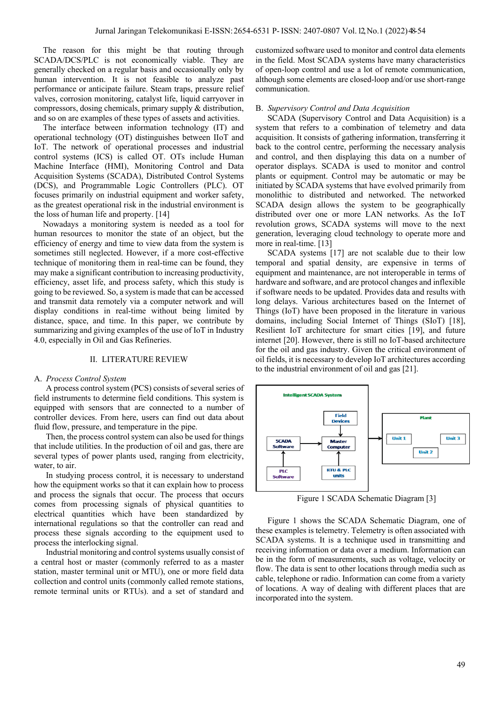The reason for this might be that routing through SCADA/DCS/PLC is not economically viable. They are generally checked on a regular basis and occasionally only by human intervention. It is not feasible to analyze past performance or anticipate failure. Steam traps, pressure relief valves, corrosion monitoring, catalyst life, liquid carryover in compressors, dosing chemicals, primary supply & distribution, and so on are examples of these types of assets and activities.

The interface between information technology (IT) and operational technology (OT) distinguishes between IIoT and IoT. The network of operational processes and industrial control systems (ICS) is called OT. OTs include Human Machine Interface (HMI), Monitoring Control and Data Acquisition Systems (SCADA), Distributed Control Systems (DCS), and Programmable Logic Controllers (PLC). OT focuses primarily on industrial equipment and worker safety, as the greatest operational risk in the industrial environment is the loss of human life and property. [14]

Nowadays a monitoring system is needed as a tool for human resources to monitor the state of an object, but the efficiency of energy and time to view data from the system is sometimes still neglected. However, if a more cost-effective technique of monitoring them in real-time can be found, they may make a significant contribution to increasing productivity, efficiency, asset life, and process safety, which this study is going to be reviewed. So, a system is made that can be accessed and transmit data remotely via a computer network and will display conditions in real-time without being limited by distance, space, and time. In this paper, we contribute by summarizing and giving examples of the use of IoT in Industry 4.0, especially in Oil and Gas Refineries.

### II. LITERATURE REVIEW

#### A. *Process Control System*

A process control system (PCS) consists of several series of field instruments to determine field conditions. This system is equipped with sensors that are connected to a number of controller devices. From here, users can find out data about fluid flow, pressure, and temperature in the pipe.

Then, the process control system can also be used for things that include utilities. In the production of oil and gas, there are several types of power plants used, ranging from electricity, water, to air.

In studying process control, it is necessary to understand how the equipment works so that it can explain how to process and process the signals that occur. The process that occurs comes from processing signals of physical quantities to electrical quantities which have been standardized by international regulations so that the controller can read and process these signals according to the equipment used to process the interlocking signal.

Industrial monitoring and control systems usually consist of a central host or master (commonly referred to as a master station, master terminal unit or MTU), one or more field data collection and control units (commonly called remote stations, remote terminal units or RTUs). and a set of standard and

customized software used to monitor and control data elements in the field. Most SCADA systems have many characteristics of open-loop control and use a lot of remote communication, although some elements are closed-loop and/or use short-range communication.

## B. *Supervisory Control and Data Acquisition*

SCADA (Supervisory Control and Data Acquisition) is a system that refers to a combination of telemetry and data acquisition. It consists of gathering information, transferring it back to the control centre, performing the necessary analysis and control, and then displaying this data on a number of operator displays. SCADA is used to monitor and control plants or equipment. Control may be automatic or may be initiated by SCADA systems that have evolved primarily from monolithic to distributed and networked. The networked SCADA design allows the system to be geographically distributed over one or more LAN networks. As the IoT revolution grows, SCADA systems will move to the next generation, leveraging cloud technology to operate more and more in real-time. [13]

SCADA systems [17] are not scalable due to their low temporal and spatial density, are expensive in terms of equipment and maintenance, are not interoperable in terms of hardware and software, and are protocol changes and inflexible if software needs to be updated. Provides data and results with long delays. Various architectures based on the Internet of Things (IoT) have been proposed in the literature in various domains, including Social Internet of Things (SIoT) [18], Resilient IoT architecture for smart cities [19], and future internet [20]. However, there is still no IoT-based architecture for the oil and gas industry. Given the critical environment of oil fields, it is necessary to develop IoT architectures according to the industrial environment of oil and gas [21].



Figure 1 SCADA Schematic Diagram [3]

Figure 1 shows the SCADA Schematic Diagram, one of these examples is telemetry. Telemetry is often associated with SCADA systems. It is a technique used in transmitting and receiving information or data over a medium. Information can be in the form of measurements, such as voltage, velocity or flow. The data is sent to other locations through media such as cable, telephone or radio. Information can come from a variety of locations. A way of dealing with different places that are incorporated into the system.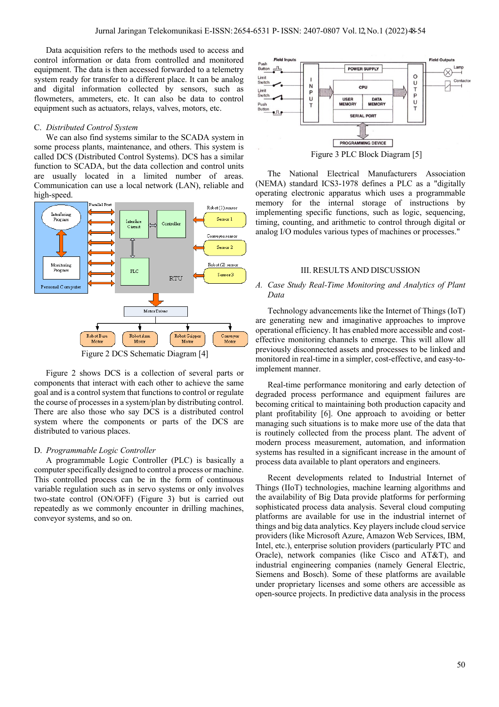Data acquisition refers to the methods used to access and control information or data from controlled and monitored equipment. The data is then accessed forwarded to a telemetry system ready for transfer to a different place. It can be analog and digital information collected by sensors, such as flowmeters, ammeters, etc. It can also be data to control equipment such as actuators, relays, valves, motors, etc.

## C. *Distributed Control System*

We can also find systems similar to the SCADA system in some process plants, maintenance, and others. This system is called DCS (Distributed Control Systems). DCS has a similar function to SCADA, but the data collection and control units are usually located in a limited number of areas. Communication can use a local network (LAN), reliable and high-speed.



Figure 2 DCS Schematic Diagram [4]

Figure 2 shows DCS is a collection of several parts or components that interact with each other to achieve the same goal and is a control system that functions to control or regulate the course of processes in a system/plan by distributing control. There are also those who say DCS is a distributed control system where the components or parts of the DCS are distributed to various places.

## D. *Programmable Logic Controller*

A programmable Logic Controller (PLC) is basically a computer specifically designed to control a process or machine. This controlled process can be in the form of continuous variable regulation such as in servo systems or only involves two-state control (ON/OFF) (Figure 3) but is carried out repeatedly as we commonly encounter in drilling machines, conveyor systems, and so on.



Figure 3 PLC Block Diagram [5]

The National Electrical Manufacturers Association (NEMA) standard ICS3-1978 defines a PLC as a "digitally operating electronic apparatus which uses a programmable memory for the internal storage of instructions by implementing specific functions, such as logic, sequencing, timing, counting, and arithmetic to control through digital or analog I/O modules various types of machines or processes."

## III. RESULTS AND DISCUSSION

# *A. Case Study Real-Time Monitoring and Analytics of Plant Data*

Technology advancements like the Internet of Things (IoT) are generating new and imaginative approaches to improve operational efficiency. It has enabled more accessible and costeffective monitoring channels to emerge. This will allow all previously disconnected assets and processes to be linked and monitored in real-time in a simpler, cost-effective, and easy-toimplement manner.

Real-time performance monitoring and early detection of degraded process performance and equipment failures are becoming critical to maintaining both production capacity and plant profitability [6]. One approach to avoiding or better managing such situations is to make more use of the data that is routinely collected from the process plant. The advent of modern process measurement, automation, and information systems has resulted in a significant increase in the amount of process data available to plant operators and engineers.

Recent developments related to Industrial Internet of Things (IIoT) technologies, machine learning algorithms and the availability of Big Data provide platforms for performing sophisticated process data analysis. Several cloud computing platforms are available for use in the industrial internet of things and big data analytics. Key players include cloud service providers (like Microsoft Azure, Amazon Web Services, IBM, Intel, etc.), enterprise solution providers (particularly PTC and Oracle), network companies (like Cisco and AT&T), and industrial engineering companies (namely General Electric, Siemens and Bosch). Some of these platforms are available under proprietary licenses and some others are accessible as open-source projects. In predictive data analysis in the process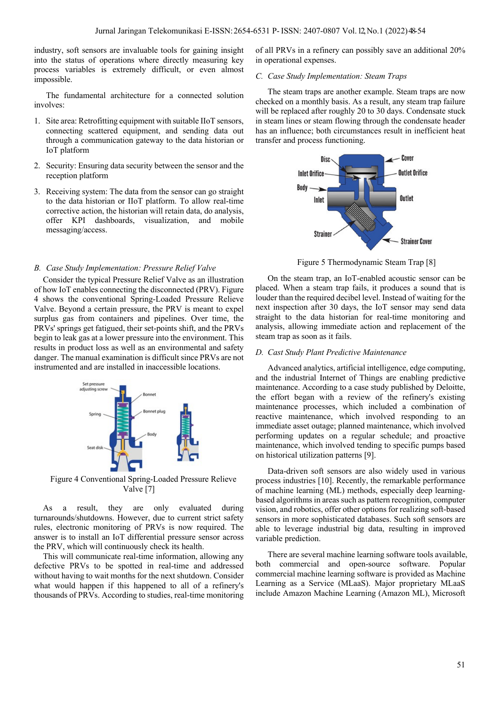industry, soft sensors are invaluable tools for gaining insight into the status of operations where directly measuring key process variables is extremely difficult, or even almost impossible.

The fundamental architecture for a connected solution involves:

- 1. Site area: Retrofitting equipment with suitable IIoT sensors, connecting scattered equipment, and sending data out through a communication gateway to the data historian or IoT platform
- 2. Security: Ensuring data security between the sensor and the reception platform
- 3. Receiving system: The data from the sensor can go straight to the data historian or IIoT platform. To allow real-time corrective action, the historian will retain data, do analysis, offer KPI dashboards, visualization, and mobile messaging/access.

#### *B. Case Study Implementation: Pressure Relief Valve*

Consider the typical Pressure Relief Valve as an illustration of how IoT enables connecting the disconnected (PRV). Figure 4 shows the conventional Spring-Loaded Pressure Relieve Valve. Beyond a certain pressure, the PRV is meant to expel surplus gas from containers and pipelines. Over time, the PRVs' springs get fatigued, their set-points shift, and the PRVs begin to leak gas at a lower pressure into the environment. This results in product loss as well as an environmental and safety danger. The manual examination is difficult since PRVs are not instrumented and are installed in inaccessible locations.



Figure 4 Conventional Spring-Loaded Pressure Relieve Valve [7]

As a result, they are only evaluated during turnarounds/shutdowns. However, due to current strict safety rules, electronic monitoring of PRVs is now required. The answer is to install an IoT differential pressure sensor across the PRV, which will continuously check its health.

This will communicate real-time information, allowing any defective PRVs to be spotted in real-time and addressed without having to wait months for the next shutdown. Consider what would happen if this happened to all of a refinery's thousands of PRVs. According to studies, real-time monitoring of all PRVs in a refinery can possibly save an additional 20% in operational expenses.

## *C. Case Study Implementation: Steam Traps*

The steam traps are another example. Steam traps are now checked on a monthly basis. As a result, any steam trap failure will be replaced after roughly 20 to 30 days. Condensate stuck in steam lines or steam flowing through the condensate header has an influence; both circumstances result in inefficient heat transfer and process functioning.



Figure 5 Thermodynamic Steam Trap [8]

On the steam trap, an IoT-enabled acoustic sensor can be placed. When a steam trap fails, it produces a sound that is louder than the required decibel level. Instead of waiting for the next inspection after 30 days, the IoT sensor may send data straight to the data historian for real-time monitoring and analysis, allowing immediate action and replacement of the steam trap as soon as it fails.

## *D. Cast Study Plant Predictive Maintenance*

Advanced analytics, artificial intelligence, edge computing, and the industrial Internet of Things are enabling predictive maintenance. According to a case study published by Deloitte, the effort began with a review of the refinery's existing maintenance processes, which included a combination of reactive maintenance, which involved responding to an immediate asset outage; planned maintenance, which involved performing updates on a regular schedule; and proactive maintenance, which involved tending to specific pumps based on historical utilization patterns [9].

Data-driven soft sensors are also widely used in various process industries [10]. Recently, the remarkable performance of machine learning (ML) methods, especially deep learningbased algorithms in areas such as pattern recognition, computer vision, and robotics, offer other options for realizing soft-based sensors in more sophisticated databases. Such soft sensors are able to leverage industrial big data, resulting in improved variable prediction.

There are several machine learning software tools available, both commercial and open-source software. Popular commercial machine learning software is provided as Machine Learning as a Service (MLaaS). Major proprietary MLaaS include Amazon Machine Learning (Amazon ML), Microsoft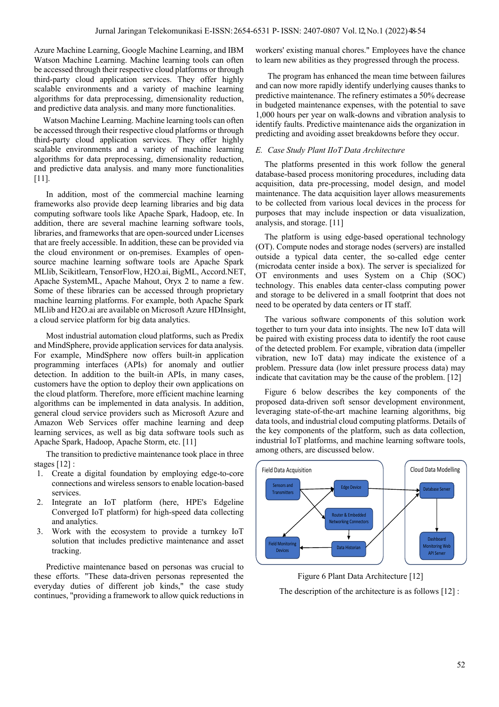Azure Machine Learning, Google Machine Learning, and IBM Watson Machine Learning. Machine learning tools can often be accessed through their respective cloud platforms or through third-party cloud application services. They offer highly scalable environments and a variety of machine learning algorithms for data preprocessing, dimensionality reduction, and predictive data analysis. and many more functionalities.

Watson Machine Learning. Machine learning tools can often be accessed through their respective cloud platforms or through third-party cloud application services. They offer highly scalable environments and a variety of machine learning algorithms for data preprocessing, dimensionality reduction, and predictive data analysis. and many more functionalities [11].

In addition, most of the commercial machine learning frameworks also provide deep learning libraries and big data computing software tools like Apache Spark, Hadoop, etc. In addition, there are several machine learning software tools, libraries, and frameworks that are open-sourced under Licenses that are freely accessible. In addition, these can be provided via the cloud environment or on-premises. Examples of opensource machine learning software tools are Apache Spark MLlib, Scikitlearn, TensorFlow, H2O.ai, BigML, Accord.NET, Apache SystemML, Apache Mahout, Oryx 2 to name a few. Some of these libraries can be accessed through proprietary machine learning platforms. For example, both Apache Spark MLlib and H2O.ai are available on Microsoft Azure HDInsight, a cloud service platform for big data analytics.

Most industrial automation cloud platforms, such as Predix and MindSphere, provide application services for data analysis. For example, MindSphere now offers built-in application programming interfaces (APIs) for anomaly and outlier detection. In addition to the built-in APIs, in many cases, customers have the option to deploy their own applications on the cloud platform. Therefore, more efficient machine learning algorithms can be implemented in data analysis. In addition, general cloud service providers such as Microsoft Azure and Amazon Web Services offer machine learning and deep learning services, as well as big data software tools such as Apache Spark, Hadoop, Apache Storm, etc. [11]

The transition to predictive maintenance took place in three stages [12] :

- 1. Create a digital foundation by employing edge-to-core connections and wireless sensors to enable location-based services.
- 2. Integrate an IoT platform (here, HPE's Edgeline Converged IoT platform) for high-speed data collecting and analytics.
- 3. Work with the ecosystem to provide a turnkey IoT solution that includes predictive maintenance and asset tracking.

Predictive maintenance based on personas was crucial to these efforts. "These data-driven personas represented the everyday duties of different job kinds," the case study continues, "providing a framework to allow quick reductions in

workers' existing manual chores." Employees have the chance to learn new abilities as they progressed through the process.

The program has enhanced the mean time between failures and can now more rapidly identify underlying causes thanks to predictive maintenance. The refinery estimates a 50% decrease in budgeted maintenance expenses, with the potential to save 1,000 hours per year on walk-downs and vibration analysis to identify faults. Predictive maintenance aids the organization in predicting and avoiding asset breakdowns before they occur.

## *E. Case Study Plant IIoT Data Architecture*

The platforms presented in this work follow the general database-based process monitoring procedures, including data acquisition, data pre-processing, model design, and model maintenance. The data acquisition layer allows measurements to be collected from various local devices in the process for purposes that may include inspection or data visualization, analysis, and storage. [11]

The platform is using edge-based operational technology (OT). Compute nodes and storage nodes (servers) are installed outside a typical data center, the so-called edge center (microdata center inside a box). The server is specialized for OT environments and uses System on a Chip (SOC) technology. This enables data center-class computing power and storage to be delivered in a small footprint that does not need to be operated by data centers or IT staff.

The various software components of this solution work together to turn your data into insights. The new IoT data will be paired with existing process data to identify the root cause of the detected problem. For example, vibration data (impeller vibration, new IoT data) may indicate the existence of a problem. Pressure data (low inlet pressure process data) may indicate that cavitation may be the cause of the problem. [12]

Figure 6 below describes the key components of the proposed data-driven soft sensor development environment, leveraging state-of-the-art machine learning algorithms, big data tools, and industrial cloud computing platforms. Details of the key components of the platform, such as data collection, industrial IoT platforms, and machine learning software tools, among others, are discussed below.



Figure 6 Plant Data Architecture [12] The description of the architecture is as follows [12] :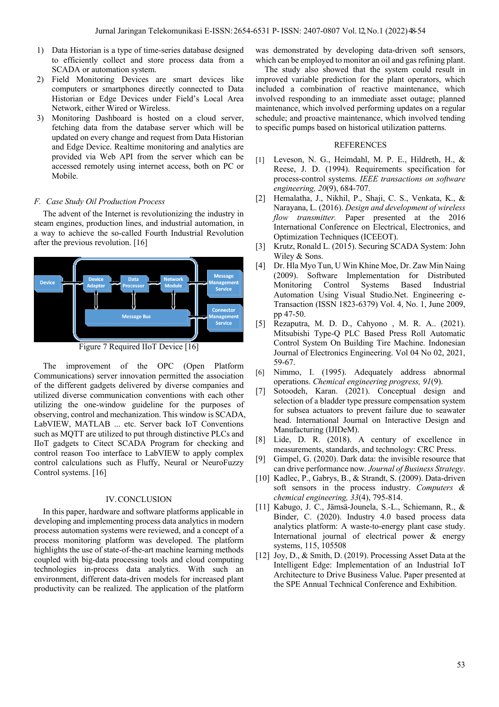- 1) Data Historian is a type of time-series database designed to efficiently collect and store process data from a SCADA or automation system.
- 2) Field Monitoring Devices are smart devices like computers or smartphones directly connected to Data Historian or Edge Devices under Field's Local Area Network, either Wired or Wireless.
- 3) Monitoring Dashboard is hosted on a cloud server, fetching data from the database server which will be updated on every change and request from Data Historian and Edge Device. Realtime monitoring and analytics are provided via Web API from the server which can be accessed remotely using internet access, both on PC or Mobile.

#### *F. Case Study Oil Production Process*

The advent of the Internet is revolutionizing the industry in steam engines, production lines, and industrial automation, in a way to achieve the so-called Fourth Industrial Revolution after the previous revolution. [16]



Figure 7 Required IIoT Device [16]

The improvement of the OPC (Open Platform Communications) server innovation permitted the association of the different gadgets delivered by diverse companies and utilized diverse communication conventions with each other utilizing the one-window guideline for the purposes of observing, control and mechanization. This window is SCADA, LabVIEW, MATLAB ... etc. Server back IoT Conventions such as MQTT are utilized to put through distinctive PLCs and IIoT gadgets to Citect SCADA Program for checking and control reason Too interface to LabVIEW to apply complex control calculations such as Fluffy, Neural or NeuroFuzzy Control systems. [16]

# IV.CONCLUSION

In this paper, hardware and software platforms applicable in developing and implementing process data analytics in modern process automation systems were reviewed, and a concept of a process monitoring platform was developed. The platform highlights the use of state-of-the-art machine learning methods coupled with big-data processing tools and cloud computing technologies in-process data analytics. With such an environment, different data-driven models for increased plant productivity can be realized. The application of the platform

was demonstrated by developing data-driven soft sensors, which can be employed to monitor an oil and gas refining plant.

The study also showed that the system could result in improved variable prediction for the plant operators, which included a combination of reactive maintenance, which involved responding to an immediate asset outage; planned maintenance, which involved performing updates on a regular schedule; and proactive maintenance, which involved tending to specific pumps based on historical utilization patterns.

# REFERENCES

- [1] Leveson, N. G., Heimdahl, M. P. E., Hildreth, H., & Reese, J. D. (1994). Requirements specification for process-control systems. *IEEE transactions on software engineering, 20*(9), 684-707.
- [2] Hemalatha, J., Nikhil, P., Shaji, C. S., Venkata, K., & Narayana, L. (2016). *Design and development of wireless flow transmitter.* Paper presented at the 2016 International Conference on Electrical, Electronics, and Optimization Techniques (ICEEOT).
- [3] Krutz, Ronald L. (2015). Securing SCADA System: John Wiley & Sons.
- [4] Dr. Hla Myo Tun, U Win Khine Moe, Dr. Zaw Min Naing (2009). Software Implementation for Distributed Monitoring Control Systems Based Industrial Automation Using Visual Studio.Net. Engineering e-Transaction (ISSN 1823-6379) Vol. 4, No. 1, June 2009, pp 47-50.
- [5] Rezaputra, M. D. D., Cahyono , M. R. A.. (2021). Mitsubishi Type-Q PLC Based Press Roll Automatic Control System On Building Tire Machine. Indonesian Journal of Electronics Engineering. Vol 04 No 02, 2021, 59-67.
- [6] Nimmo, I. (1995). Adequately address abnormal operations. *Chemical engineering progress, 91*(9).
- [7] Sotoodeh, Karan. (2021). Conceptual design and selection of a bladder type pressure compensation system for subsea actuators to prevent failure due to seawater head. International Journal on Interactive Design and Manufacturing (IJIDeM).
- [8] Lide, D. R. (2018). A century of excellence in measurements, standards, and technology: CRC Press.
- [9] Gimpel, G. (2020). Dark data: the invisible resource that can drive performance now. *Journal of Business Strategy*.
- [10] Kadlec, P., Gabrys, B., & Strandt, S. (2009). Data-driven soft sensors in the process industry. *Computers & chemical engineering, 33*(4), 795-814.
- [11] Kabugo, J. C., Jämsä-Jounela, S.-L., Schiemann, R., & Binder, C. (2020). Industry 4.0 based process data analytics platform: A waste-to-energy plant case study. International journal of electrical power & energy systems, 115, 105508
- [12] Joy, D., & Smith, D. (2019). Processing Asset Data at the Intelligent Edge: Implementation of an Industrial IoT Architecture to Drive Business Value. Paper presented at the SPE Annual Technical Conference and Exhibition.